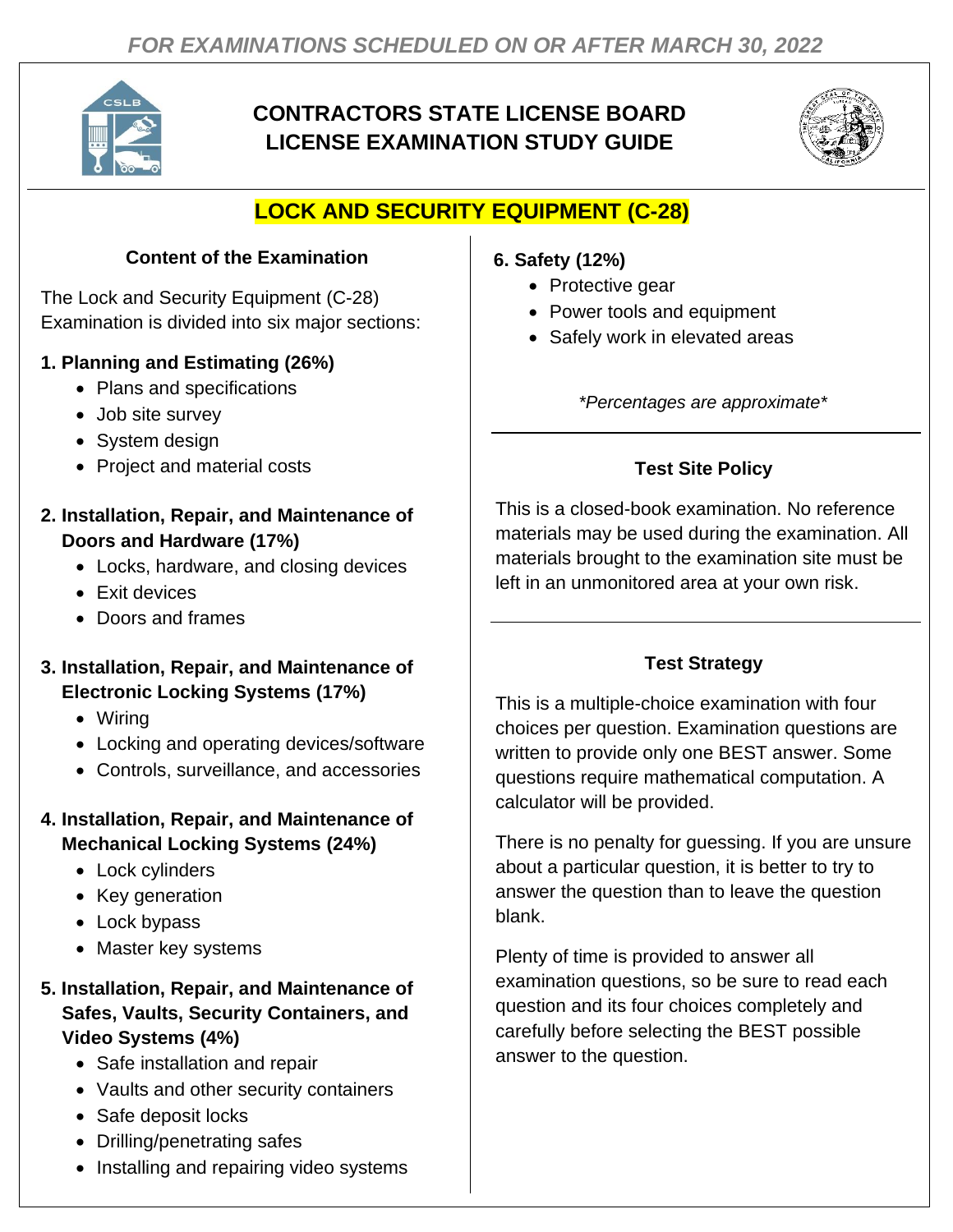

# **CONTRACTORS STATE LICENSE BOARD LICENSE EXAMINATION STUDY GUIDE**



# **LOCK AND SECURITY EQUIPMENT (C-28)**

### **Content of the Examination**

The Lock and Security Equipment (C-28) Examination is divided into six major sections:

### **1. Planning and Estimating (26%)**

- Plans and specifications
- Job site survey
- System design
- Project and material costs

### **2. Installation, Repair, and Maintenance of Doors and Hardware (17%)**

- Locks, hardware, and closing devices
- Exit devices
- Doors and frames

#### **3. Installation, Repair, and Maintenance of Electronic Locking Systems (17%)**

- Wiring
- Locking and operating devices/software
- Controls, surveillance, and accessories

### **4. Installation, Repair, and Maintenance of Mechanical Locking Systems (24%)**

- Lock cylinders
- Key generation
- Lock bypass
- Master key systems

#### **5. Installation, Repair, and Maintenance of Safes, Vaults, Security Containers, and Video Systems (4%)**

- Safe installation and repair
- Vaults and other security containers
- Safe deposit locks
- Drilling/penetrating safes
- Installing and repairing video systems

## **6. Safety (12%)**

- Protective gear
- Power tools and equipment
- Safely work in elevated areas

*\*Percentages are approximate\**

## **Test Site Policy**

This is a closed-book examination. No reference materials may be used during the examination. All materials brought to the examination site must be left in an unmonitored area at your own risk.

## **Test Strategy**

This is a multiple-choice examination with four choices per question. Examination questions are written to provide only one BEST answer. Some questions require mathematical computation. A calculator will be provided.

There is no penalty for guessing. If you are unsure about a particular question, it is better to try to answer the question than to leave the question blank.

Plenty of time is provided to answer all examination questions, so be sure to read each question and its four choices completely and carefully before selecting the BEST possible answer to the question.